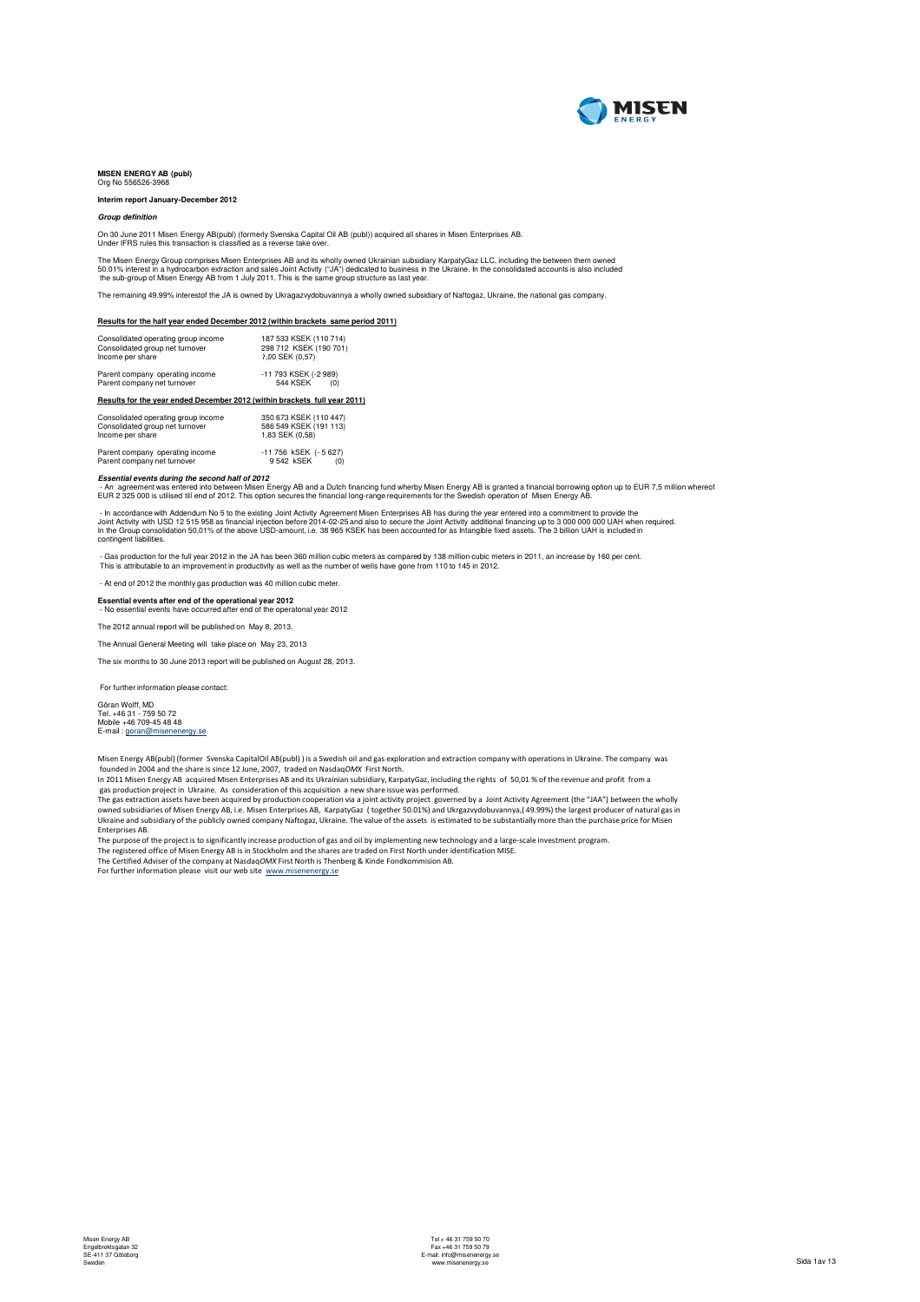

### **MISEN ENERGY AB (publ) Drugger**:<br>Org No 556526-396

### **Interim report January-December 2012**

### **Group definition**

On 30 June 2011 Misen Energy AB(publ) (formerly Svenska Capital Oil AB (publ)) acquired all shares in Misen Enterprises AB. Under IFRS rules this transaction is classified as a reverse take over.

The Misen Energy Group comprises Misen Enterprises AB and its wholly owned Ukrainian subsidiary KarpatyGaz LLC, including the between them owned<br>50.01% interest in a hydrocarbon extraction and sales Joint Activity ("JA") d

The remaining 49.99% interestof the JA is owned by Ukragazvydobuvannya a wholly owned subsidiary of Naftogaz, Ukraine, the national gas company.

**Results for the half year ended December 2012 (within brackets same period 2011)**

| Consolidated operating group income<br>Consolidated group net turnover<br>Income per share | 187 533 KSEK (110 714)<br>298 712 KSEK (190 701)<br>1.00 SEK (0.57) |
|--------------------------------------------------------------------------------------------|---------------------------------------------------------------------|
| Parent company operating income<br>Parent company net turnover                             | -11 793 KSEK (-2 989)<br><b>544 KSEK</b><br>(0)                     |
| Results for the year ended December 2012 (within brackets full year 2011)                  |                                                                     |
| Consolidated operating group income<br>Consolidated group net turnover<br>Income per share | 350 673 KSEK (110 447)<br>586 549 KSEK (191 113)<br>1.83 SEK (0.58) |
| Parent company operating income<br>Parent company net turnover                             | -11 756 kSEK (- 5 627)<br>9542 kSEK<br>(0)                          |

Parent company operating international part company net turnover

*Essential events during the second half of 2012*<br>- An agreement was entered into between Misen Energy AB and a Dutch financing fund wherby Misen Energy AB is granted a financial borrowing option up to EUR 7,5 million wher

- In accordance with Addendum No 5 to the existing Joint Activity Agreement Misen Enterprises AB has during the year entered into a commitment to provide the<br>Joint Activity with USD 12 515 958 as financial injection before

- Gas production for the full year 2012 in the JA has been 360 million cubic meters as compared by 138 million cubic meters in 2011, an increase by 160 per cent.<br>This is attributable to an improvement in productivity as we

- At end of 2012 the monthly gas production was 40 million cubic meter.

**Essential events after end of the operational year 2012** - No essential events have occurred after end of the operatonal year 2012

The 2012 annual report will be published on May 8, 2013.

The Annual General Meeting will take place on May 23, 2013

The six months to 30 June 2013 report will be published on August 28, 2013.

For further information please contact:

Göran Wolff, MD<br>Tel. +46 31 - 759 50 72<br>Mobile +46 709-45 48 48<br>E-mail : <u>goran@misenenergy.se</u>

Misen Energy AB(publ) (former Svenska CapitalOil AB(publ) ) is a Swedish oil and gas exploration and extraction company with operations in Ukraine. The company was founded in 2004 and the share is since 12 June, 2007, traded on NasdaqOMX First North.

In 2011 Misen Energy AB acquired Misen Enterprises AB and its Ukrainian subsidiary, KarpatyGaz, including the rights of 50,01 % of the revenue and profit from a<br>gas production project in Ukraine. As consideration of his ac

owned subsidiaries of Misen Energy AB, i.e. Misen Enterprises AB, KarpatyGaz (together 50.01%) and Ukrgazvydobuvannya,(49.99%) the largest producer of natural gas in<br>Ukraine and subsidiary of the publicly owned company Naf

Enterprises AB.

The purpose of the project is to significantly increase production of gas and oil by implementing new technology and a large-scale investment program.

The registered office of Misen Energy AB is in Stockholm and the shares are traded on First North under identification MISE.<br>The Certified Adviser of the company at Nasdaq*OMX* First North is Thenberg & Kinde Fondkommision

For further information please visit our web site www.misenenergy.se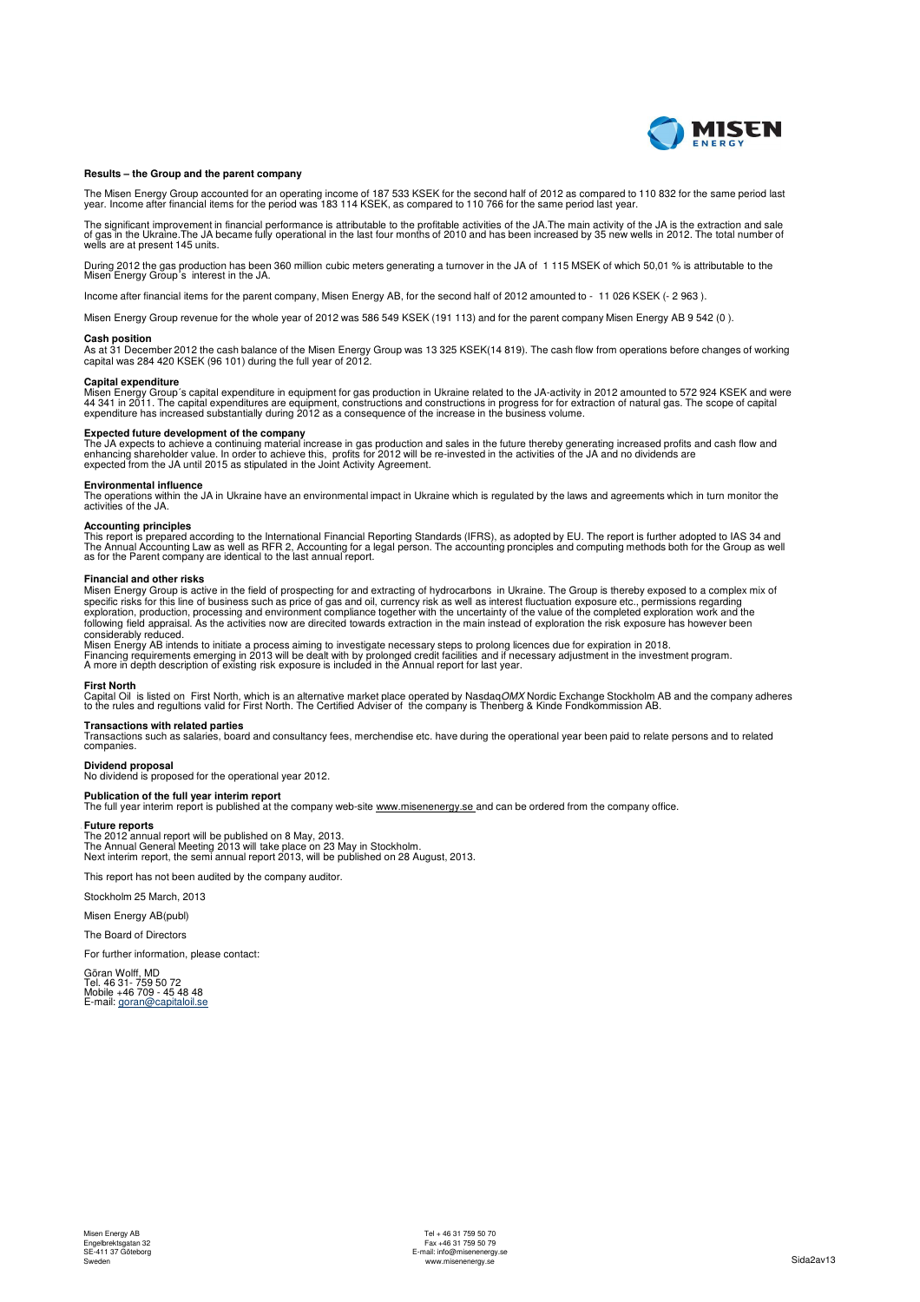

### **Results – the Group and the parent company**

The Misen Energy Group accounted for an operating income of 187 533 KSEK for the second half of 2012 as compared to 110 832 for the same period last<br>year. Income after financial items for the period was 183 114 KSEK, as co

The significant improvement in financial performance is attributable to the profitable activities of the JA.The main activity of the JA is the extraction and sale<br>of gas in the Ukraine.The JA became fully operational in th

During 2012 the gas production has been 360 million cubic meters generating a turnover in the JA of 1 115 MSEK of which 50,01 % is attributable to the Misen Energy Group´s interest in the JA.

Income after financial items for the parent company, Misen Energy AB, for the second half of 2012 amounted to - 11 026 KSEK (- 2 963 ).

Misen Energy Group revenue for the whole year of 2012 was 586 549 KSEK (191 113) and for the parent company Misen Energy AB 9 542 (0 ).

**Cash position** As at 31 December 2012 the cash balance of the Misen Energy Group was 13 325 KSEK(14 819). The cash flow from operations before changes of working capital was 284 420 KSEK (96 101) during the full year of 2012.

### **Capital expenditure**

Misen Energy Group´s capital expenditure in equipment for gas production in Ukraine related to the JA-activity in 2012 amounted to 572 924 KSEK and were<br>44 341 in 2011. The capital expenditures are equipment, constructions

**Expected future development of the company**<br>The JA expects to achieve a continuing material increase in gas production and sales in the future thereby generating increased profits and cash flow and<br>enhancing shareholder v

**Environmental influence**<br>The operations within the JA in Ukraine have an environmental impact in Ukraine which is regulated by the laws and agreements which in turn monitor the<br>activities of the JA.

**Accounting principles**<br>This report is prepared according to the International Financial Reporting Standards (IFRS), as adopted by EU. The report is further adopted to IAS 34 and<br>The Annual Accounting Law as well as RFR 2,

### **Financial and other risks**

Misen Energy Group is active in the field of prospecting for and extracting of hydrocarbons in Ukraine. The Group is thereby exposed to a complex mix of specific risks for this line of business such as price of gas and oil, currency risk as well as interest fluctuation exposure etc., permissions regarding<br>exploration, production, processing and environment compliance toget considerably reduced.

Misen Energy AB intends to initiate a process aiming to investigate necessary steps to prolong licences due for expiration in 2018.<br>Financing requirements emerging in 2013 will be dealt with by prolonged credit facilities

### **First North**

Capital Oil is listed on First North, which is an alternative market place operated by Nasdaq*OMX* Nordic Exchange Stockholm AB and the company adheres<br>to the rules and regultions valid for First North. The Certified Advis

### **Transactions with related parties**

Transactions such as salaries, board and consultancy fees, merchendise etc. have during the operational year been paid to relate persons and to related companies.

**Dividend proposal** No dividend is proposed for the operational year 2012.

Net income per share, computed as net income allocated to the share owners in the parent company **Publication of the full year interim report** The full year interim report is published at the company web-site www.misenenergy.se and can be ordered from the company office.

### **Future reports**

Future reports<br>The 2012 annual report will be published on 8 May, 2013.<br>The Annual General Meeting 2013 will take place on 23 May in Stockholm.<br>Next interim report, the semi annual report 2013, will be published on 28 Augu

This report has not been audited by the company auditor.

Stockholm 25 March, 2013

Misen Energy AB(publ)

The Board of Directors

For further information, please contact:

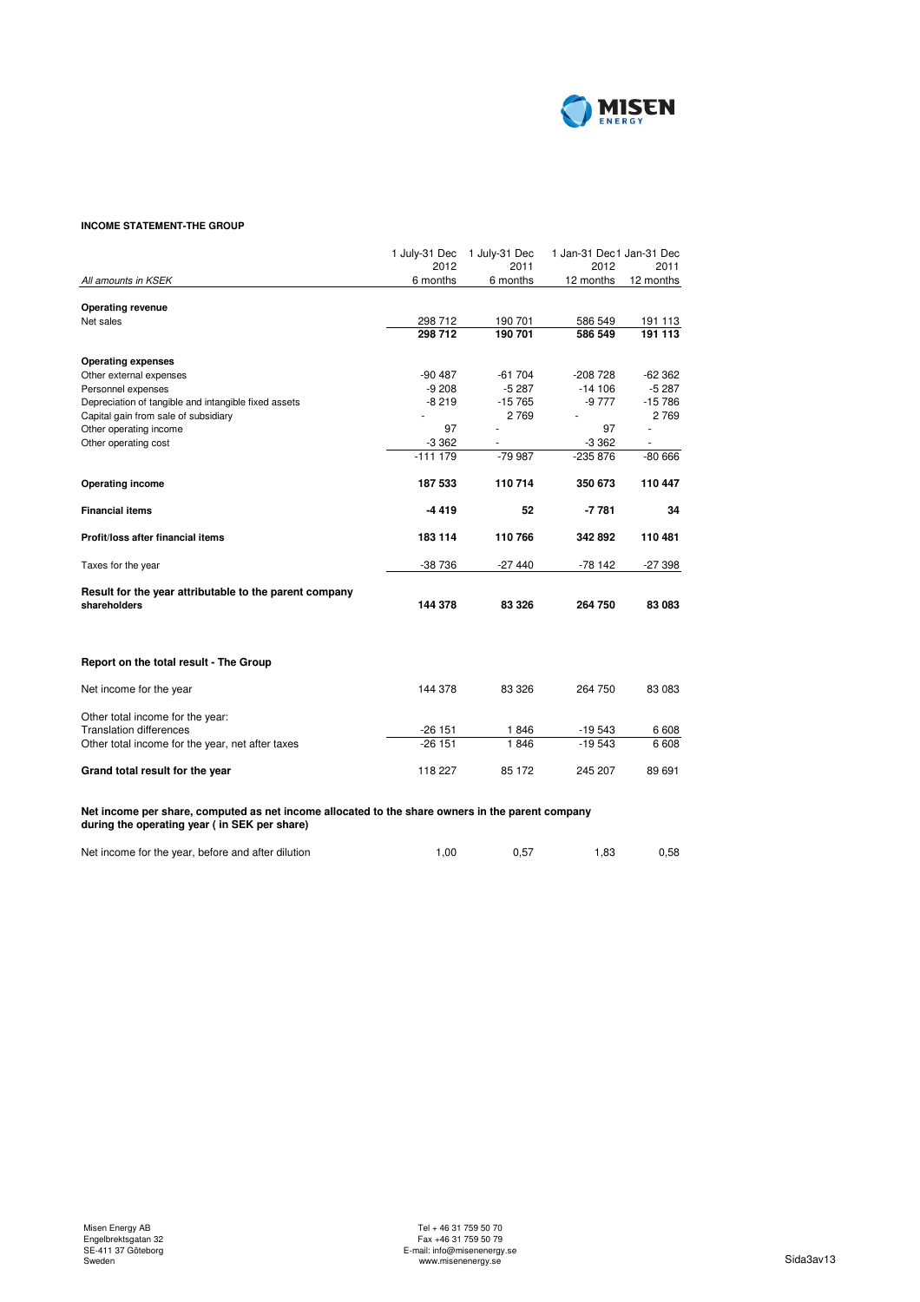

# **INCOME STATEMENT-THE GROUP**

|                                                                                                                                                   | 1 July-31 Dec | 1 July-31 Dec | 1 Jan-31 Dec1 Jan-31 Dec |           |
|---------------------------------------------------------------------------------------------------------------------------------------------------|---------------|---------------|--------------------------|-----------|
|                                                                                                                                                   | 2012          | 2011          | 2012                     | 2011      |
| All amounts in KSEK                                                                                                                               | 6 months      | 6 months      | 12 months                | 12 months |
|                                                                                                                                                   |               |               |                          |           |
| <b>Operating revenue</b><br>Net sales                                                                                                             | 298 712       | 190 701       | 586 549                  | 191 113   |
|                                                                                                                                                   | 298 712       | 190 701       | 586 549                  | 191 113   |
| <b>Operating expenses</b>                                                                                                                         |               |               |                          |           |
| Other external expenses                                                                                                                           | $-90487$      | $-61704$      | $-208728$                | $-62362$  |
| Personnel expenses                                                                                                                                | $-9208$       | $-5287$       | $-14106$                 | $-5287$   |
| Depreciation of tangible and intangible fixed assets                                                                                              | $-8219$       | $-15765$      | -9 777                   | $-15786$  |
| Capital gain from sale of subsidiary                                                                                                              |               | 2769          |                          | 2 7 6 9   |
| Other operating income                                                                                                                            | 97            |               | 97                       |           |
| Other operating cost                                                                                                                              | $-3362$       |               | $-3362$                  |           |
|                                                                                                                                                   | $-111179$     | -79 987       | $-235876$                | $-80666$  |
| <b>Operating income</b>                                                                                                                           | 187 533       | 110714        | 350 673                  | 110 447   |
| <b>Financial items</b>                                                                                                                            | $-4419$       | 52            | $-7781$                  | 34        |
| Profit/loss after financial items                                                                                                                 | 183 114       | 110766        | 342892                   | 110 481   |
| Taxes for the year                                                                                                                                | -38 736       | -27 440       | $-78142$                 | -27 398   |
| Result for the year attributable to the parent company<br>shareholders                                                                            | 144 378       | 83 326        | 264 750                  | 83 083    |
| Report on the total result - The Group                                                                                                            |               |               |                          |           |
| Net income for the year                                                                                                                           | 144 378       | 83 326        | 264 750                  | 83 083    |
| Other total income for the year:                                                                                                                  |               |               |                          |           |
| <b>Translation differences</b>                                                                                                                    | $-26151$      | 1846          | $-19543$                 | 6 6 0 8   |
| Other total income for the year, net after taxes                                                                                                  | $-26151$      | 1846          | $-19543$                 | 6 6 0 8   |
| Grand total result for the year                                                                                                                   | 118 227       | 85 172        | 245 207                  | 89 691    |
| Net income per share, computed as net income allocated to the share owners in the parent company<br>during the operating year ( in SEK per share) |               |               |                          |           |

Net income for the year, before and after dilution 1,00 0,57 1,83 0,58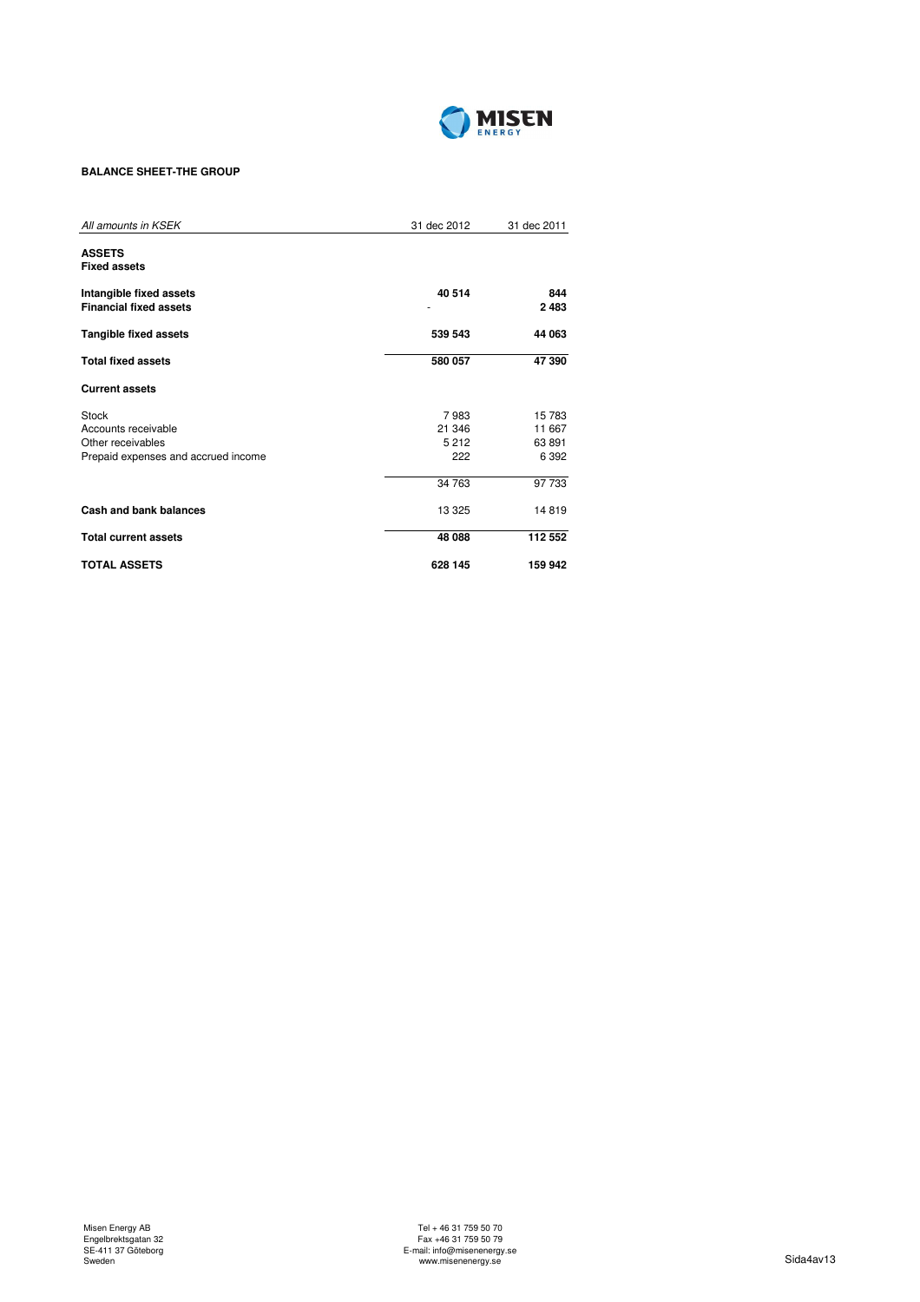

# **BALANCE SHEET-THE GROUP**

| All amounts in KSEK                  | 31 dec 2012 | 31 dec 2011 |
|--------------------------------------|-------------|-------------|
| <b>ASSETS</b><br><b>Fixed assets</b> |             |             |
|                                      |             |             |
| Intangible fixed assets              | 40 514      | 844         |
| <b>Financial fixed assets</b>        |             | 2483        |
| <b>Tangible fixed assets</b>         | 539 543     | 44 063      |
| <b>Total fixed assets</b>            | 580 057     | 47 390      |
| <b>Current assets</b>                |             |             |
| Stock                                | 7983        | 15 783      |
| Accounts receivable                  | 21 346      | 11 667      |
| Other receivables                    | 5212        | 63 891      |
| Prepaid expenses and accrued income  | 222         | 6 3 9 2     |
|                                      | 34 763      | 97 733      |
| Cash and bank balances               | 13 3 25     | 14819       |
| <b>Total current assets</b>          | 48 088      | 112 552     |
| <b>TOTAL ASSETS</b>                  | 628 145     | 159 942     |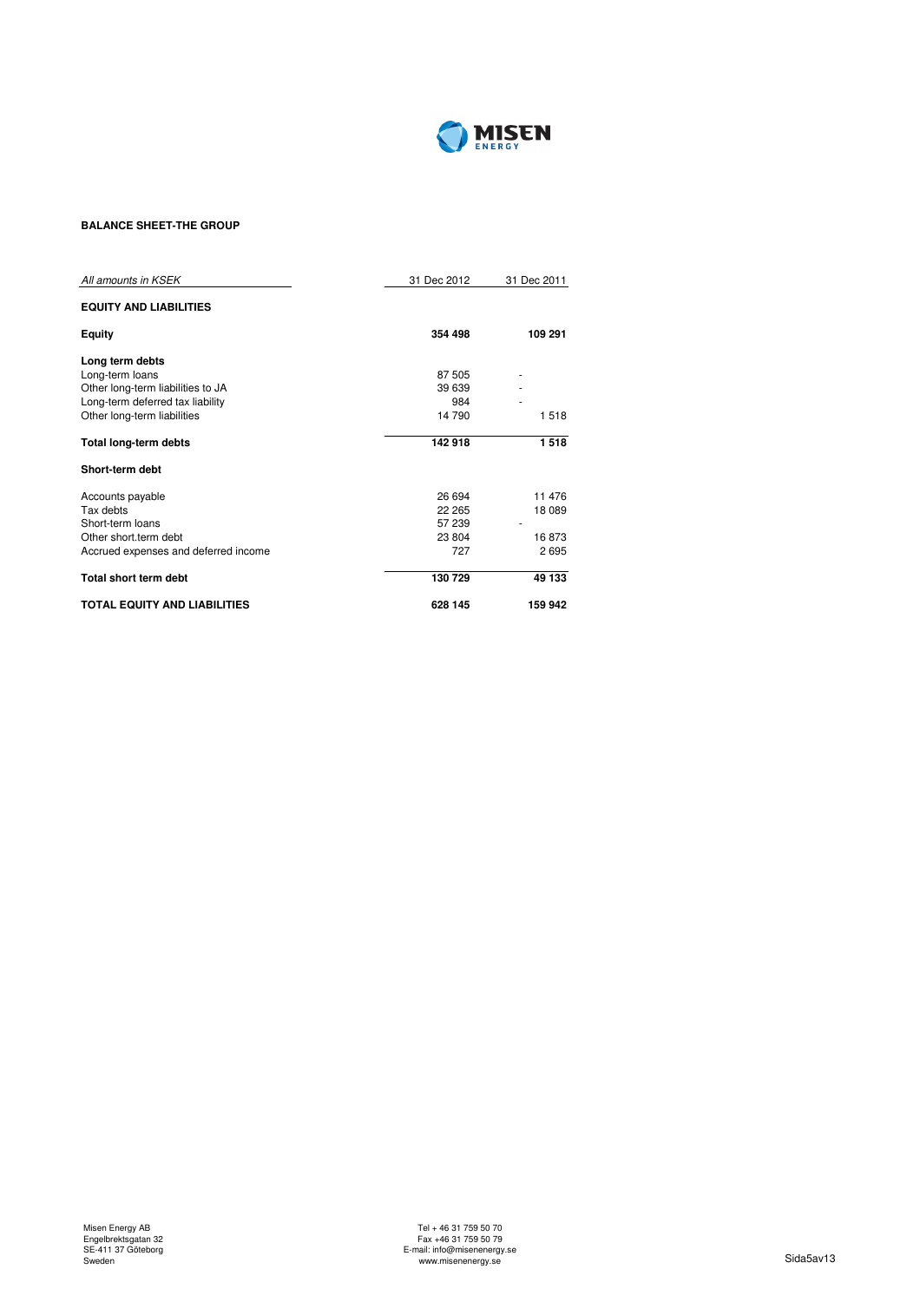

# **BALANCE SHEET-THE GROUP**

| All amounts in KSEK                  | 31 Dec 2012 | 31 Dec 2011 |
|--------------------------------------|-------------|-------------|
| <b>EQUITY AND LIABILITIES</b>        |             |             |
| <b>Equity</b>                        | 354 498     | 109 291     |
| Long term debts                      |             |             |
| Long-term loans                      | 87 505      |             |
| Other long-term liabilities to JA    | 39 639      |             |
| Long-term deferred tax liability     | 984         |             |
| Other long-term liabilities          | 14 790      | 1518        |
| Total long-term debts                | 142 918     | 1518        |
| Short-term debt                      |             |             |
| Accounts payable                     | 26 694      | 11 476      |
| Tax debts                            | 22 265      | 18 089      |
| Short-term loans                     | 57 239      |             |
| Other short.term debt                | 23 804      | 16873       |
| Accrued expenses and deferred income | 727         | 2695        |
| <b>Total short term debt</b>         | 130 729     | 49 133      |
| <b>TOTAL EQUITY AND LIABILITIES</b>  | 628 145     | 159 942     |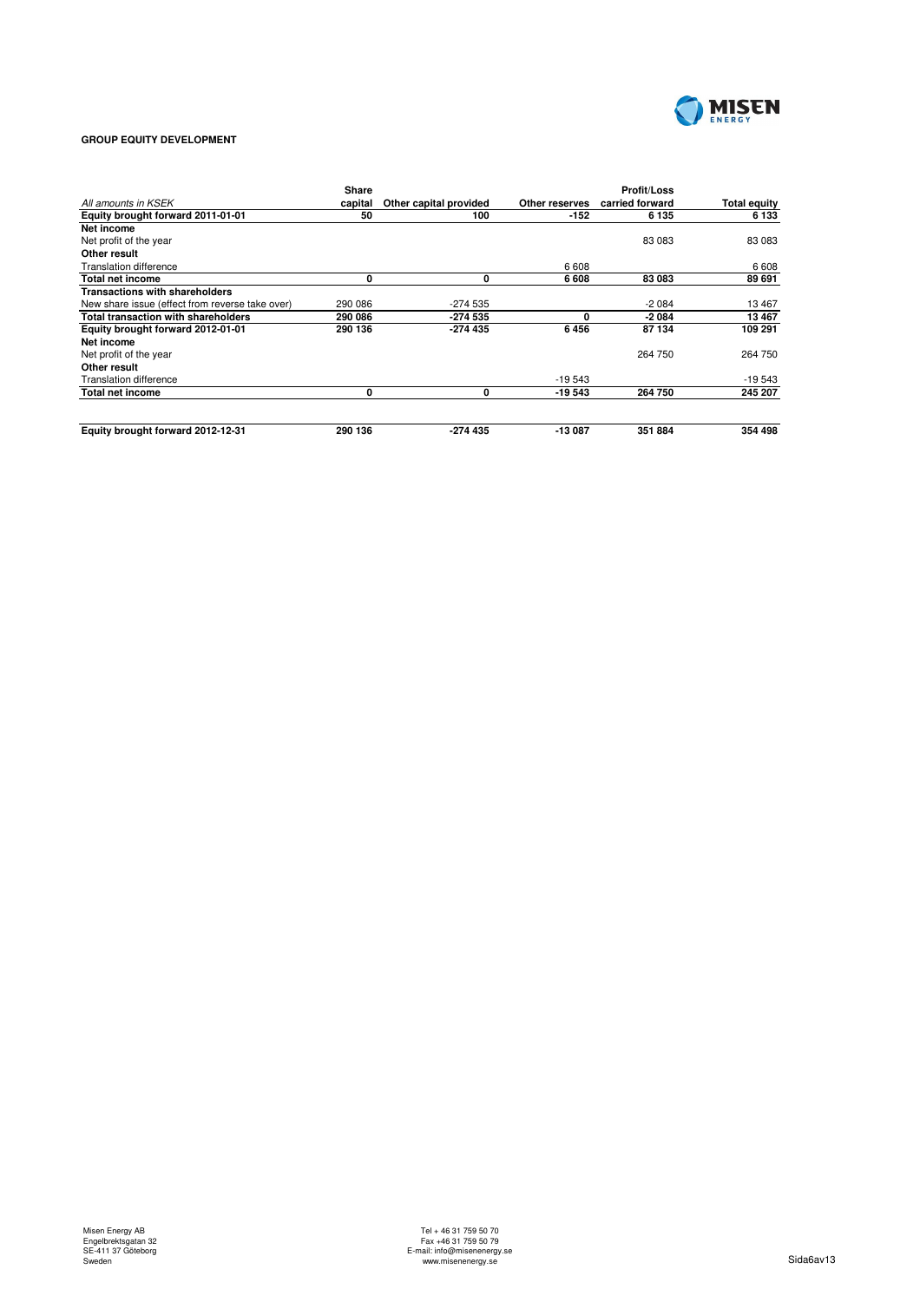

# **GROUP EQUITY DEVELOPMENT**

|                                                 | Share   |                        |                | <b>Profit/Loss</b> |                     |
|-------------------------------------------------|---------|------------------------|----------------|--------------------|---------------------|
| All amounts in KSEK                             | capital | Other capital provided | Other reserves | carried forward    | <b>Total equity</b> |
| Equity brought forward 2011-01-01               | 50      | 100                    | $-152$         | 6 1 3 5            | 6 133               |
| Net income                                      |         |                        |                |                    |                     |
| Net profit of the year                          |         |                        |                | 83 083             | 83 083              |
| Other result                                    |         |                        |                |                    |                     |
| <b>Translation difference</b>                   |         |                        | 6 608          |                    | 6608                |
| Total net income                                | 0       | 0                      | 6 608          | 83 083             | 89 691              |
| <b>Transactions with shareholders</b>           |         |                        |                |                    |                     |
| New share issue (effect from reverse take over) | 290 086 | $-274535$              |                | $-2084$            | 13 467              |
| <b>Total transaction with shareholders</b>      | 290 086 | -274 535               | 0              | $-2084$            | 13 467              |
| Equity brought forward 2012-01-01               | 290 136 | -274 435               | 6456           | 87 134             | 109 291             |
| Net income                                      |         |                        |                |                    |                     |
| Net profit of the year                          |         |                        |                | 264 750            | 264 750             |
| Other result                                    |         |                        |                |                    |                     |
| Translation difference                          |         |                        | $-19543$       |                    | $-19543$            |
| Total net income                                | 0       | 0                      | -19 543        | 264 750            | 245 207             |
| Equity brought forward 2012-12-31               | 290 136 | $-274435$              | -13 087        | 351 884            | 354 498             |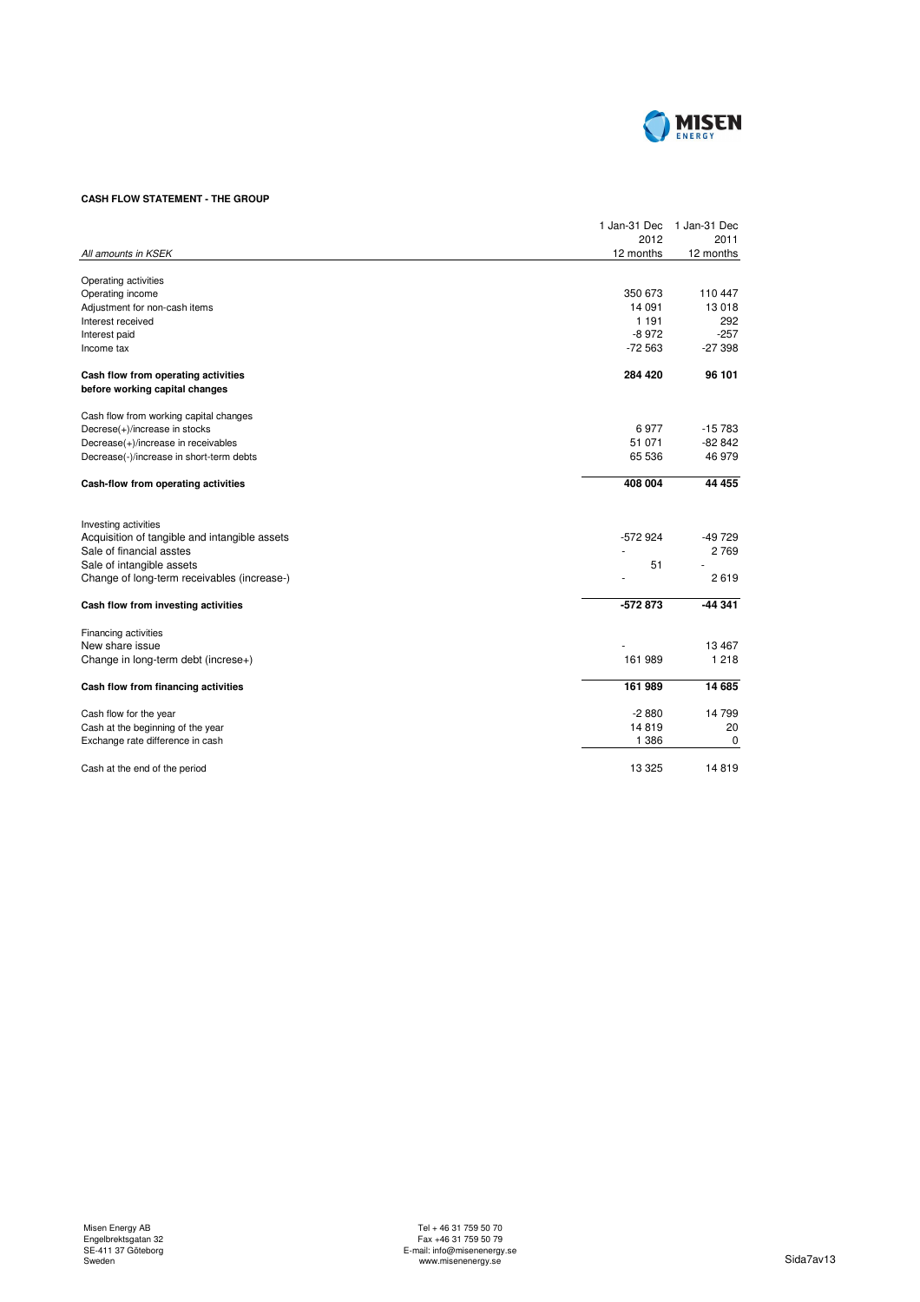

# **CASH FLOW STATEMENT - THE GROUP**

|                                                                       | 1 Jan-31 Dec | 1 Jan-31 Dec |
|-----------------------------------------------------------------------|--------------|--------------|
|                                                                       | 2012         | 2011         |
| All amounts in KSEK                                                   | 12 months    | 12 months    |
| Operating activities                                                  |              |              |
| Operating income                                                      | 350 673      | 110 447      |
| Adjustment for non-cash items                                         | 14 091       | 13 018       |
| Interest received                                                     | 1 1 9 1      | 292          |
| Interest paid                                                         | $-8972$      | $-257$       |
| Income tax                                                            | $-72563$     | $-27398$     |
| Cash flow from operating activities<br>before working capital changes | 284 420      | 96 101       |
| Cash flow from working capital changes                                |              |              |
| Decrese(+)/increase in stocks                                         | 6977         | $-15783$     |
| Decrease(+)/increase in receivables                                   | 51 071       | $-82842$     |
| Decrease(-)/increase in short-term debts                              | 65 536       | 46 979       |
| Cash-flow from operating activities                                   | 408 004      | 44 455       |
| Investing activities                                                  |              |              |
| Acquisition of tangible and intangible assets                         | $-572924$    | $-49729$     |
| Sale of financial asstes                                              |              | 2769         |
| Sale of intangible assets                                             | 51           |              |
| Change of long-term receivables (increase-)                           |              | 2619         |
| Cash flow from investing activities                                   | $-572873$    | $-44341$     |
| Financing activities                                                  |              |              |
| New share issue                                                       |              | 13 467       |
| Change in long-term debt (increse+)                                   | 161 989      | 1 2 1 8      |
| Cash flow from financing activities                                   | 161 989      | 14 685       |
| Cash flow for the year                                                | $-2880$      | 14 799       |
| Cash at the beginning of the year                                     | 14819        | 20           |
| Exchange rate difference in cash                                      | 1 3 8 6      | 0            |
| Cash at the end of the period                                         | 13 3 25      | 14819        |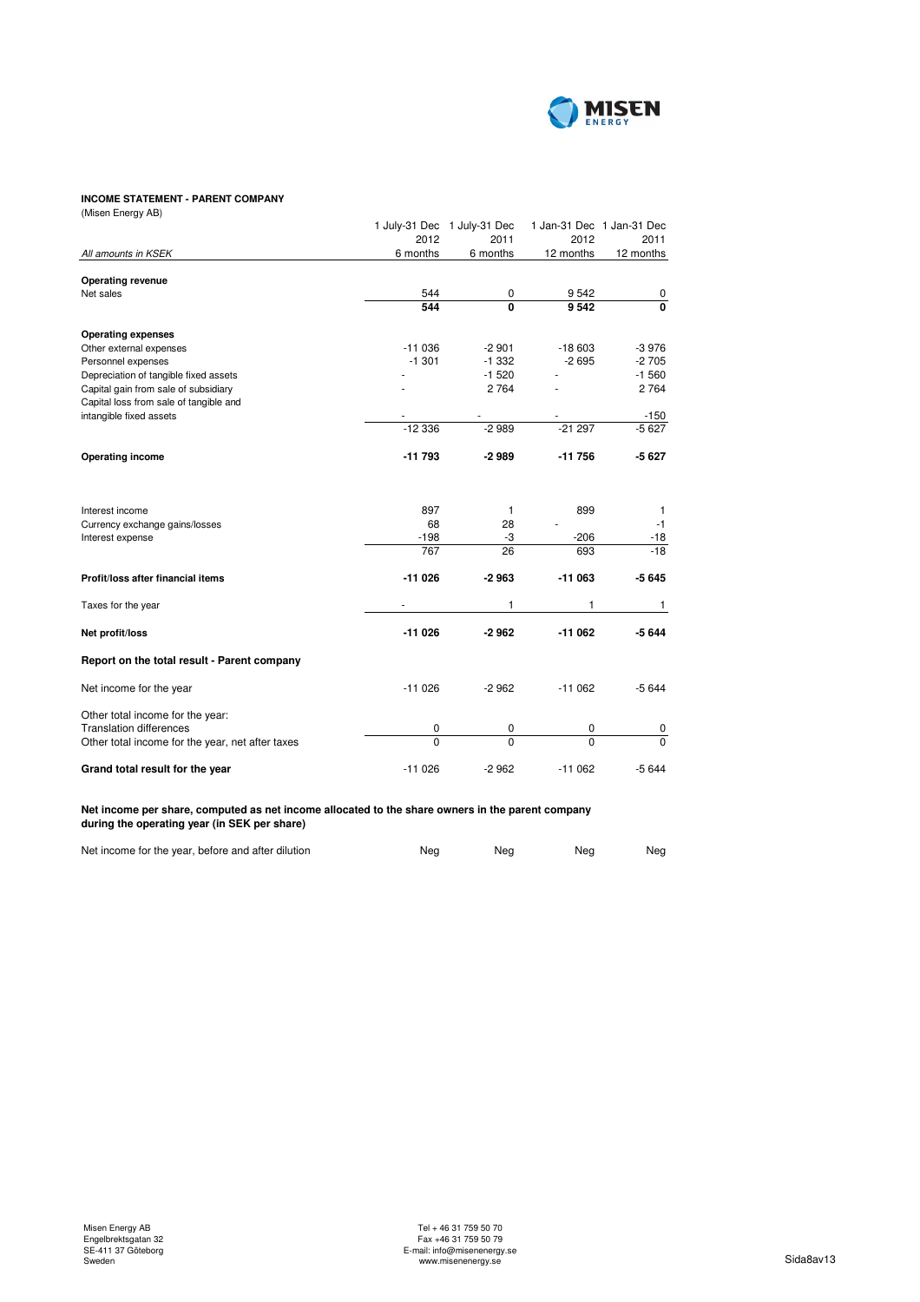

# **INCOME STATEMENT - PARENT COMPANY**

| (Misen Energy AB)                                |          |                             |           |                           |
|--------------------------------------------------|----------|-----------------------------|-----------|---------------------------|
|                                                  |          | 1 July-31 Dec 1 July-31 Dec |           | 1 Jan-31 Dec 1 Jan-31 Dec |
|                                                  | 2012     | 2011                        | 2012      | 2011                      |
| All amounts in KSEK                              | 6 months | 6 months                    | 12 months | 12 months                 |
| <b>Operating revenue</b>                         |          |                             |           |                           |
| Net sales                                        | 544      | 0                           | 9542      | 0                         |
|                                                  | 544      | $\Omega$                    | 9542      | 0                         |
| <b>Operating expenses</b>                        |          |                             |           |                           |
| Other external expenses                          | $-11036$ | $-2901$                     | $-18603$  | $-3976$                   |
| Personnel expenses                               | $-1.301$ | $-1332$                     | $-2695$   | $-2705$                   |
| Depreciation of tangible fixed assets            |          | $-1520$                     |           | $-1560$                   |
| Capital gain from sale of subsidiary             |          | 2 7 6 4                     |           | 2764                      |
| Capital loss from sale of tangible and           |          |                             |           |                           |
| intangible fixed assets                          |          |                             |           | $-150$                    |
|                                                  | $-12336$ | $-2989$                     | $-21297$  | $-5627$                   |
| <b>Operating income</b>                          | $-11793$ | $-2989$                     | $-11756$  | $-5627$                   |
| Interest income                                  | 897      | 1                           | 899       | 1                         |
| Currency exchange gains/losses                   | 68       | 28                          |           | $-1$                      |
| Interest expense                                 | $-198$   | -3                          | $-206$    | $-18$                     |
|                                                  | 767      | 26                          | 693       | $-18$                     |
| Profit/loss after financial items                | $-11026$ | $-2963$                     | $-11063$  | $-5645$                   |
| Taxes for the year                               |          | 1                           | 1         | 1                         |
| Net profit/loss                                  | $-11026$ | $-2962$                     | $-11062$  | $-5644$                   |
| Report on the total result - Parent company      |          |                             |           |                           |
| Net income for the year                          | $-11026$ | $-2962$                     | $-11062$  | $-5644$                   |
| Other total income for the year:                 |          |                             |           |                           |
| <b>Translation differences</b>                   | 0        | 0                           | 0         | 0                         |
| Other total income for the year, net after taxes | $\Omega$ | $\Omega$                    | $\Omega$  | $\mathbf 0$               |
| Grand total result for the year                  | $-11026$ | $-2962$                     | $-11062$  | $-5644$                   |

**Net income per share, computed as net income allocated to the share owners in the parent company during the operating year (in SEK per share)**

| Net income for the year, before and after dilution | Nea | Nea | Neg | Nea |
|----------------------------------------------------|-----|-----|-----|-----|
|                                                    |     |     |     |     |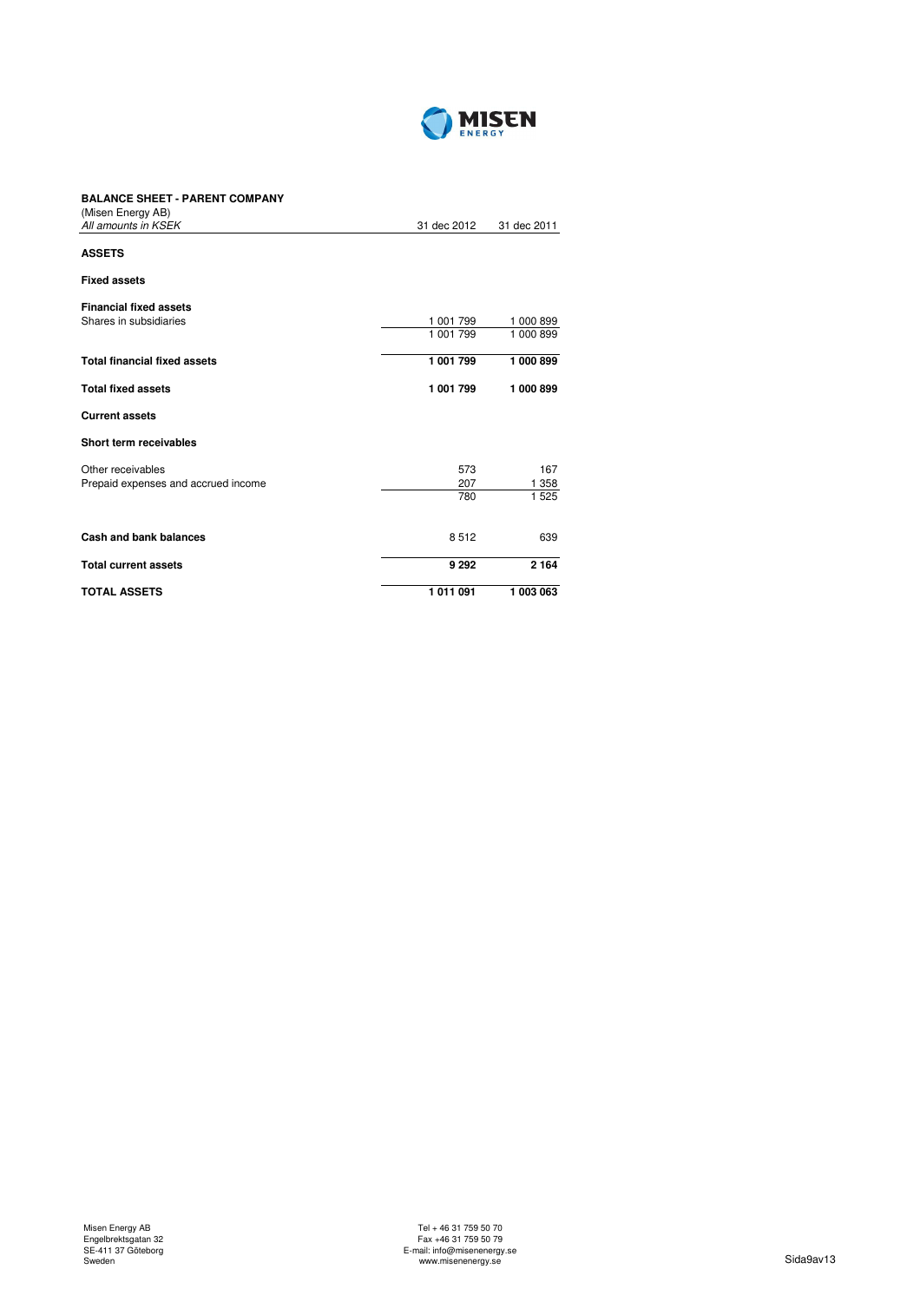

# **BALANCE SHEET - PARENT COMPANY**

| (Misen Energy AB)                   |             |             |
|-------------------------------------|-------------|-------------|
| All amounts in KSEK                 | 31 dec 2012 | 31 dec 2011 |
| <b>ASSETS</b>                       |             |             |
| <b>Fixed assets</b>                 |             |             |
| <b>Financial fixed assets</b>       |             |             |
| Shares in subsidiaries              | 1 001 799   | 1 000 899   |
|                                     | 1 001 799   | 1 000 899   |
| <b>Total financial fixed assets</b> | 1 001 799   | 1 000 899   |
| <b>Total fixed assets</b>           | 1 001 799   | 1 000 899   |
| <b>Current assets</b>               |             |             |
| Short term receivables              |             |             |
| Other receivables                   | 573         | 167         |
| Prepaid expenses and accrued income | 207         | 1 358       |
|                                     | 780         | 1 5 2 5     |
| <b>Cash and bank balances</b>       | 8512        | 639         |
| <b>Total current assets</b>         | 9 2 9 2     | 2 1 6 4     |
| <b>TOTAL ASSETS</b>                 | 1011091     | 1 003 063   |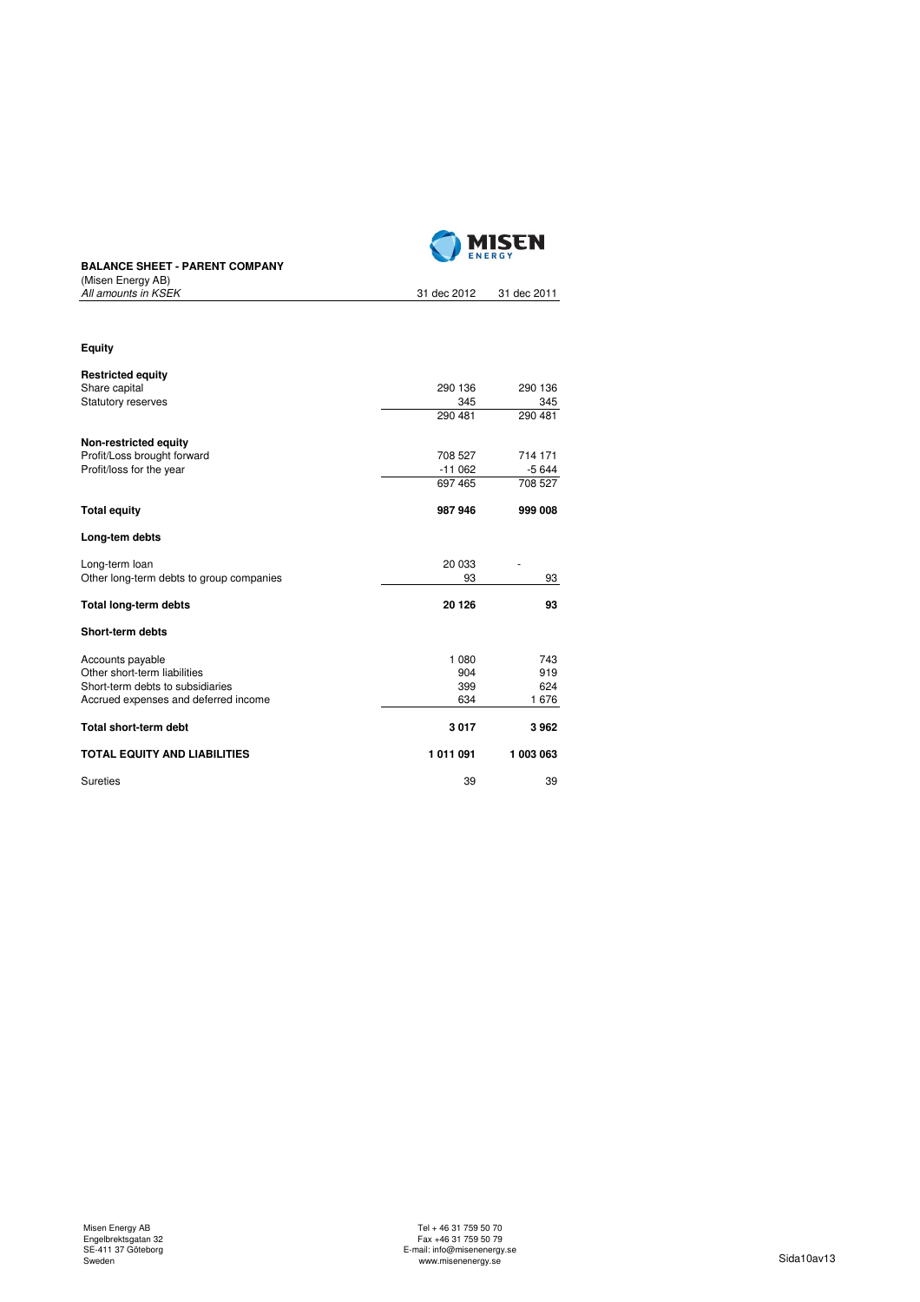

# **BALANCE SHEET - PARENT COMPANY** MILANCE STILL P<br>(Misen Energy AB)<br>All amounts in KSEK

| ושיז אויים ווטטוויון<br>All amounts in KSEK | 31 dec 2012 | 31 dec 2011 |
|---------------------------------------------|-------------|-------------|
|                                             |             |             |
| <b>Equity</b>                               |             |             |
| <b>Restricted equity</b>                    |             |             |
| Share capital                               | 290 136     | 290 136     |
| Statutory reserves                          | 345         | 345         |
|                                             | 290 481     | 290 481     |
| Non-restricted equity                       |             |             |
| Profit/Loss brought forward                 | 708 527     | 714 171     |
| Profit/loss for the year                    | $-11062$    | $-5644$     |
|                                             | 697 465     | 708 527     |
| <b>Total equity</b>                         | 987 946     | 999 008     |
| Long-tem debts                              |             |             |
| Long-term loan                              | 20 033      |             |
| Other long-term debts to group companies    | 93          | 93          |
| <b>Total long-term debts</b>                | 20 126      | 93          |
| Short-term debts                            |             |             |
| Accounts payable                            | 1 0 8 0     | 743         |
| Other short-term liabilities                | 904         | 919         |
| Short-term debts to subsidiaries            | 399         | 624         |
| Accrued expenses and deferred income        | 634         | 1676        |
| <b>Total short-term debt</b>                | 3017        | 3962        |
| <b>TOTAL EQUITY AND LIABILITIES</b>         | 1011091     | 1 003 063   |
| <b>Sureties</b>                             | 39          | 39          |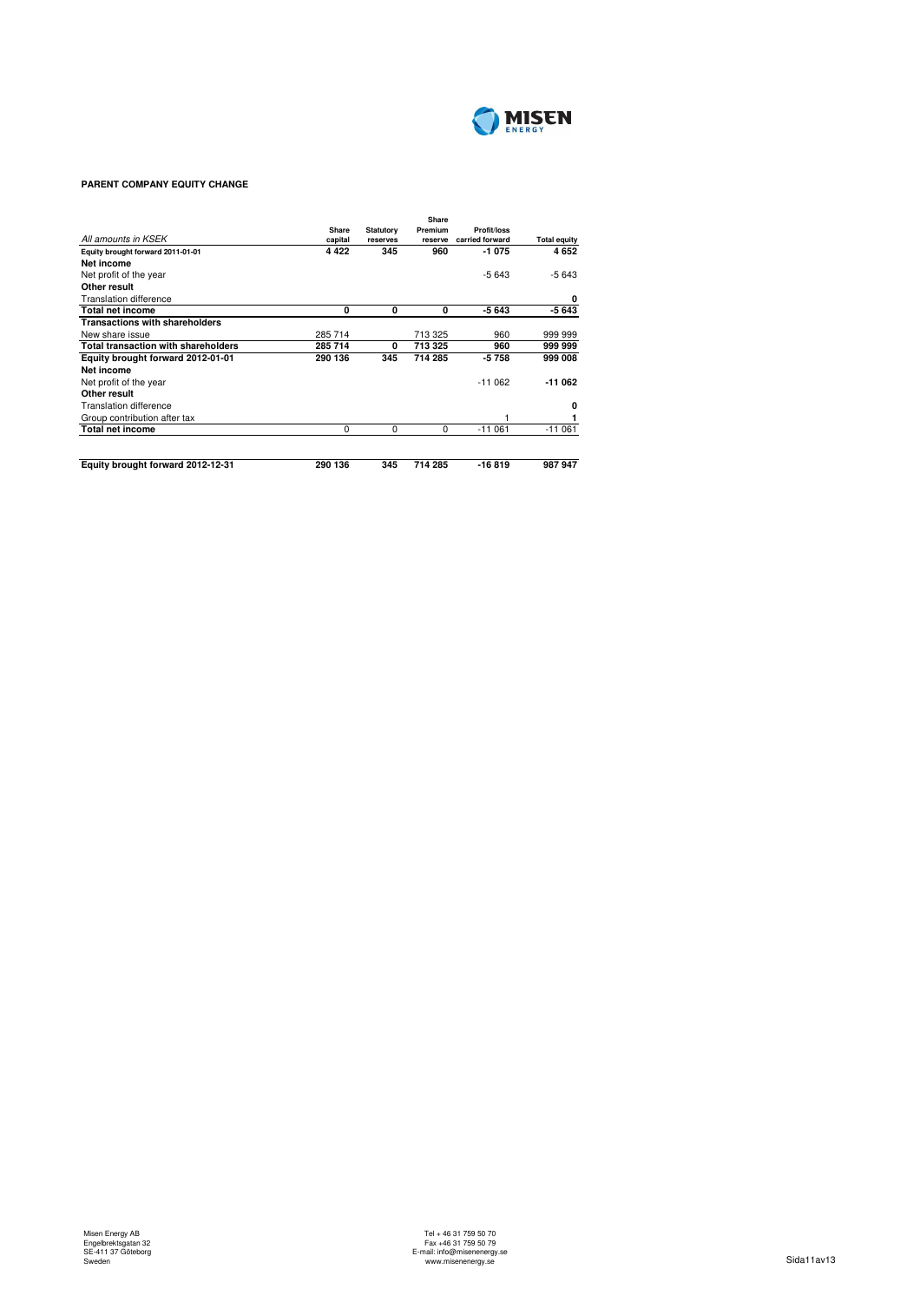

# **PARENT COMPANY EQUITY CHANGE**

| All amounts in KSEK                        | Share<br>capital | <b>Statutory</b><br>reserves | Share<br>Premium<br>reserve | Profit/loss<br>carried forward | <b>Total equity</b> |
|--------------------------------------------|------------------|------------------------------|-----------------------------|--------------------------------|---------------------|
| Equity brought forward 2011-01-01          | 4 4 2 2          | 345                          | 960                         | $-1075$                        | 4652                |
| Net income                                 |                  |                              |                             |                                |                     |
| Net profit of the year                     |                  |                              |                             | $-5643$                        | $-5643$             |
| Other result                               |                  |                              |                             |                                |                     |
| <b>Translation difference</b>              |                  |                              |                             |                                | 0                   |
| <b>Total net income</b>                    | 0                | 0                            | 0                           | $-5643$                        | $-5643$             |
| <b>Transactions with shareholders</b>      |                  |                              |                             |                                |                     |
| New share issue                            | 285 714          |                              | 713 325                     | 960                            | 999 999             |
| <b>Total transaction with shareholders</b> | 285 714          | 0                            | 713 325                     | 960                            | 999 999             |
| Equity brought forward 2012-01-01          | 290 136          | 345                          | 714 285                     | $-5758$                        | 999 008             |
| Net income                                 |                  |                              |                             |                                |                     |
| Net profit of the year                     |                  |                              |                             | $-11062$                       | $-11062$            |
| Other result                               |                  |                              |                             |                                |                     |
| <b>Translation difference</b>              |                  |                              |                             |                                | 0                   |
| Group contribution after tax               |                  |                              |                             |                                |                     |
| <b>Total net income</b>                    | $\Omega$         | $\Omega$                     | $\Omega$                    | $-11061$                       | $-11061$            |
| Equity brought forward 2012-12-31          | 290 136          | 345                          | 714 285                     | $-16819$                       | 987 947             |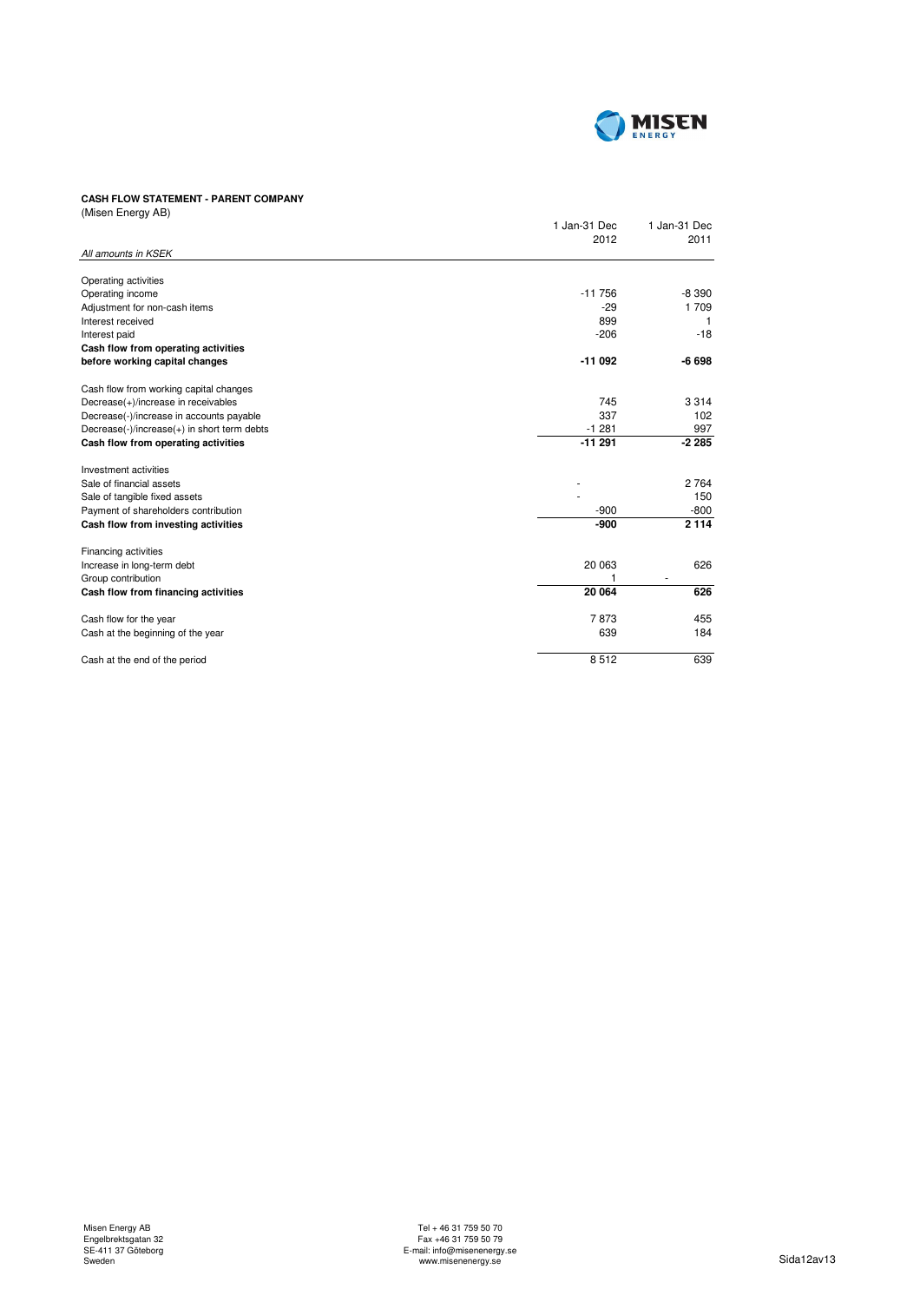

# **CASH FLOW STATEMENT - PARENT COMPANY**

| (Misen Energy AB)                           |              |              |
|---------------------------------------------|--------------|--------------|
|                                             | 1 Jan-31 Dec | 1 Jan-31 Dec |
|                                             | 2012         | 2011         |
| All amounts in KSEK                         |              |              |
| Operating activities                        |              |              |
| Operating income                            | $-11756$     | $-8390$      |
| Adjustment for non-cash items               | $-29$        | 1709         |
| Interest received                           | 899          | -1           |
| Interest paid                               | $-206$       | $-18$        |
| Cash flow from operating activities         |              |              |
| before working capital changes              | $-11092$     | $-6698$      |
| Cash flow from working capital changes      |              |              |
| Decrease(+)/increase in receivables         | 745          | 3 3 1 4      |
| Decrease(-)/increase in accounts payable    | 337          | 102          |
| Decrease(-)/increase(+) in short term debts | $-1281$      | 997          |
| Cash flow from operating activities         | $-11291$     | $-2285$      |
| Investment activities                       |              |              |
| Sale of financial assets                    |              | 2 7 6 4      |
| Sale of tangible fixed assets               |              | 150          |
| Payment of shareholders contribution        | $-900$       | $-800$       |
| Cash flow from investing activities         | $-900$       | 2 1 1 4      |
| Financing activities                        |              |              |
| Increase in long-term debt                  | 20 063       | 626          |
| Group contribution                          | 1            |              |
| Cash flow from financing activities         | 20 064       | 626          |
| Cash flow for the year                      | 7873         | 455          |
| Cash at the beginning of the year           | 639          | 184          |
| Cash at the end of the period               | 8512         | 639          |